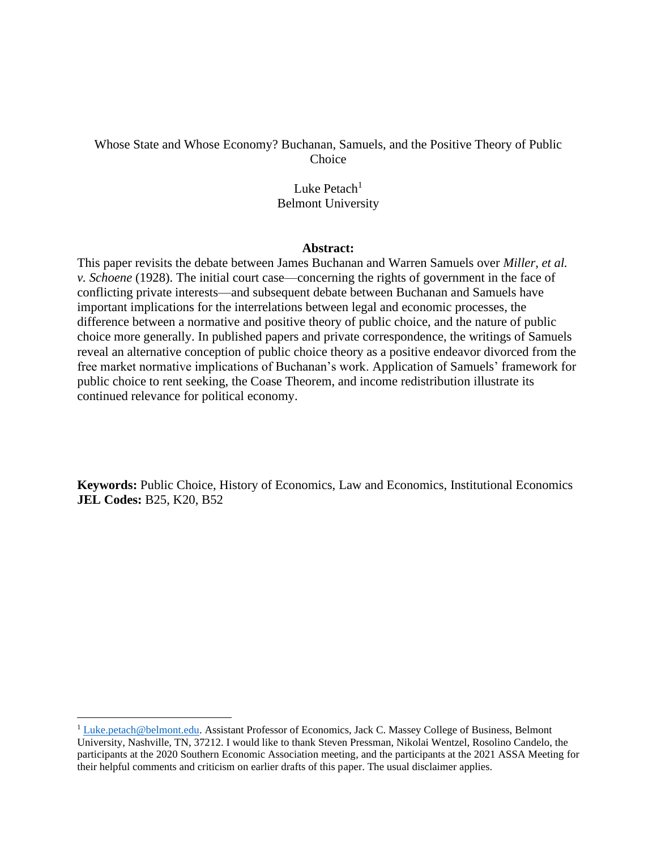# Whose State and Whose Economy? Buchanan, Samuels, and the Positive Theory of Public **Choice**

# Luke Petach $1$ Belmont University

## **Abstract:**

This paper revisits the debate between James Buchanan and Warren Samuels over *Miller, et al. v. Schoene* (1928). The initial court case—concerning the rights of government in the face of conflicting private interests—and subsequent debate between Buchanan and Samuels have important implications for the interrelations between legal and economic processes, the difference between a normative and positive theory of public choice, and the nature of public choice more generally. In published papers and private correspondence, the writings of Samuels reveal an alternative conception of public choice theory as a positive endeavor divorced from the free market normative implications of Buchanan's work. Application of Samuels' framework for public choice to rent seeking, the Coase Theorem, and income redistribution illustrate its continued relevance for political economy.

**Keywords:** Public Choice, History of Economics, Law and Economics, Institutional Economics **JEL Codes:** B25, K20, B52

<sup>&</sup>lt;sup>1</sup> [Luke.petach@belmont.edu.](mailto:Luke.petach@belmont.edu) Assistant Professor of Economics, Jack C. Massey College of Business, Belmont University, Nashville, TN, 37212. I would like to thank Steven Pressman, Nikolai Wentzel, Rosolino Candelo, the participants at the 2020 Southern Economic Association meeting, and the participants at the 2021 ASSA Meeting for their helpful comments and criticism on earlier drafts of this paper. The usual disclaimer applies.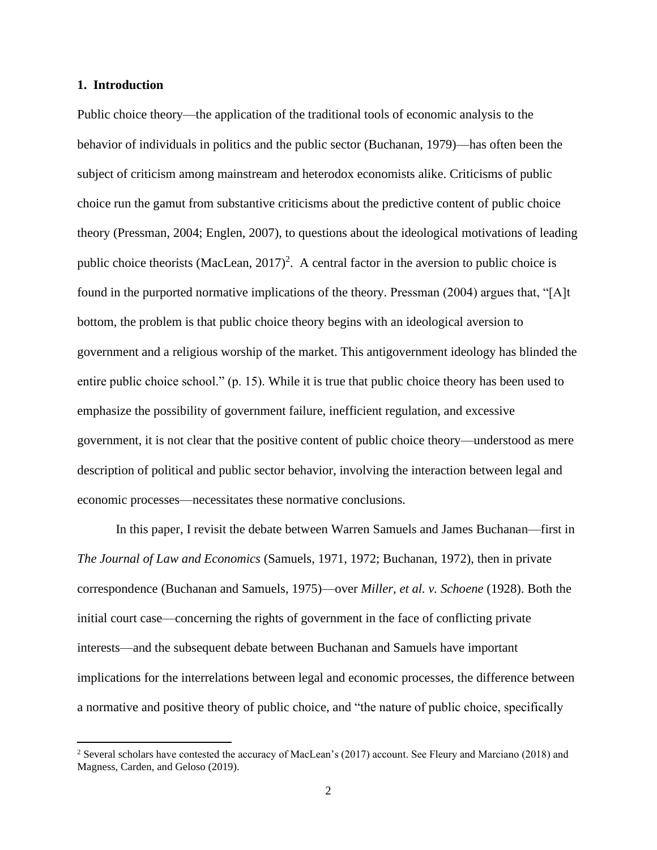### **1. Introduction**

Public choice theory—the application of the traditional tools of economic analysis to the behavior of individuals in politics and the public sector (Buchanan, 1979)—has often been the subject of criticism among mainstream and heterodox economists alike. Criticisms of public choice run the gamut from substantive criticisms about the predictive content of public choice theory (Pressman, 2004; Englen, 2007), to questions about the ideological motivations of leading public choice theorists (MacLean,  $2017$ )<sup>2</sup>. A central factor in the aversion to public choice is found in the purported normative implications of the theory. Pressman (2004) argues that, "[A]t bottom, the problem is that public choice theory begins with an ideological aversion to government and a religious worship of the market. This antigovernment ideology has blinded the entire public choice school." (p. 15). While it is true that public choice theory has been used to emphasize the possibility of government failure, inefficient regulation, and excessive government, it is not clear that the positive content of public choice theory—understood as mere description of political and public sector behavior, involving the interaction between legal and economic processes—necessitates these normative conclusions.

In this paper, I revisit the debate between Warren Samuels and James Buchanan—first in *The Journal of Law and Economics* (Samuels, 1971, 1972; Buchanan, 1972), then in private correspondence (Buchanan and Samuels, 1975)—over *Miller, et al. v. Schoene* (1928). Both the initial court case—concerning the rights of government in the face of conflicting private interests—and the subsequent debate between Buchanan and Samuels have important implications for the interrelations between legal and economic processes, the difference between a normative and positive theory of public choice, and "the nature of public choice, specifically

<sup>&</sup>lt;sup>2</sup> Several scholars have contested the accuracy of MacLean's (2017) account. See Fleury and Marciano (2018) and Magness, Carden, and Geloso (2019).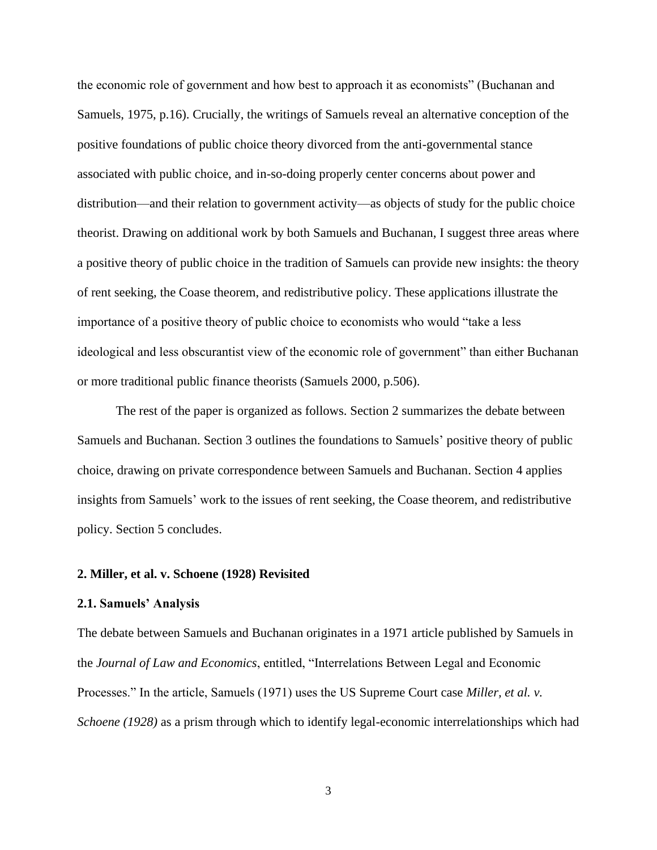the economic role of government and how best to approach it as economists" (Buchanan and Samuels, 1975, p.16). Crucially, the writings of Samuels reveal an alternative conception of the positive foundations of public choice theory divorced from the anti-governmental stance associated with public choice, and in-so-doing properly center concerns about power and distribution—and their relation to government activity—as objects of study for the public choice theorist. Drawing on additional work by both Samuels and Buchanan, I suggest three areas where a positive theory of public choice in the tradition of Samuels can provide new insights: the theory of rent seeking, the Coase theorem, and redistributive policy. These applications illustrate the importance of a positive theory of public choice to economists who would "take a less ideological and less obscurantist view of the economic role of government" than either Buchanan or more traditional public finance theorists (Samuels 2000, p.506).

The rest of the paper is organized as follows. Section 2 summarizes the debate between Samuels and Buchanan. Section 3 outlines the foundations to Samuels' positive theory of public choice, drawing on private correspondence between Samuels and Buchanan. Section 4 applies insights from Samuels' work to the issues of rent seeking, the Coase theorem, and redistributive policy. Section 5 concludes.

## **2. Miller, et al. v. Schoene (1928) Revisited**

### **2.1. Samuels' Analysis**

The debate between Samuels and Buchanan originates in a 1971 article published by Samuels in the *Journal of Law and Economics*, entitled, "Interrelations Between Legal and Economic Processes." In the article, Samuels (1971) uses the US Supreme Court case *Miller, et al. v. Schoene (1928)* as a prism through which to identify legal-economic interrelationships which had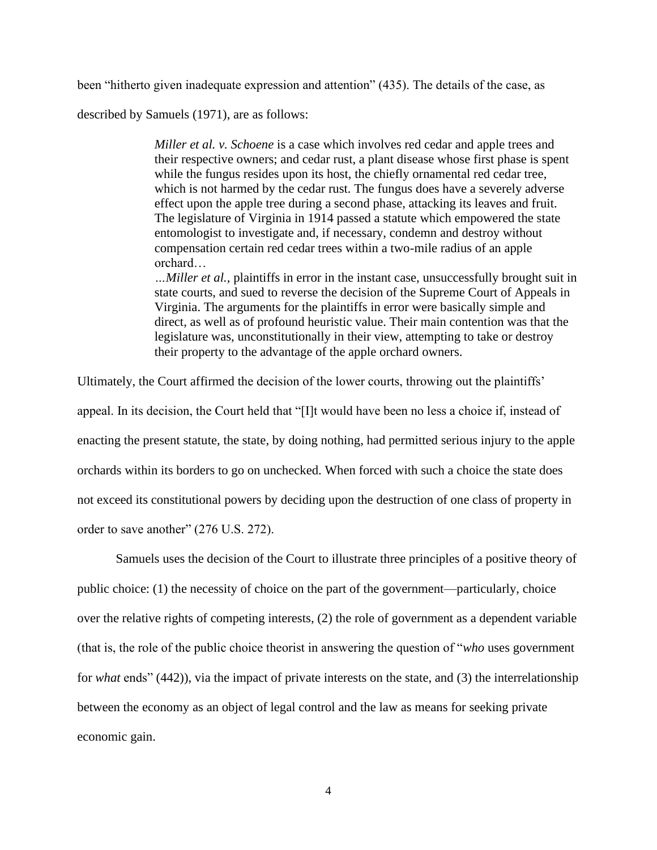been "hitherto given inadequate expression and attention" (435). The details of the case, as

described by Samuels (1971), are as follows:

*Miller et al. v. Schoene* is a case which involves red cedar and apple trees and their respective owners; and cedar rust, a plant disease whose first phase is spent while the fungus resides upon its host, the chiefly ornamental red cedar tree, which is not harmed by the cedar rust. The fungus does have a severely adverse effect upon the apple tree during a second phase, attacking its leaves and fruit. The legislature of Virginia in 1914 passed a statute which empowered the state entomologist to investigate and, if necessary, condemn and destroy without compensation certain red cedar trees within a two-mile radius of an apple orchard…

*…Miller et al.,* plaintiffs in error in the instant case, unsuccessfully brought suit in state courts, and sued to reverse the decision of the Supreme Court of Appeals in Virginia. The arguments for the plaintiffs in error were basically simple and direct, as well as of profound heuristic value. Their main contention was that the legislature was, unconstitutionally in their view, attempting to take or destroy their property to the advantage of the apple orchard owners.

Ultimately, the Court affirmed the decision of the lower courts, throwing out the plaintiffs'

appeal. In its decision, the Court held that "[I]t would have been no less a choice if, instead of enacting the present statute, the state, by doing nothing, had permitted serious injury to the apple orchards within its borders to go on unchecked. When forced with such a choice the state does not exceed its constitutional powers by deciding upon the destruction of one class of property in order to save another" (276 U.S. 272).

Samuels uses the decision of the Court to illustrate three principles of a positive theory of public choice: (1) the necessity of choice on the part of the government—particularly, choice over the relative rights of competing interests, (2) the role of government as a dependent variable (that is, the role of the public choice theorist in answering the question of "*who* uses government for *what* ends" (442)), via the impact of private interests on the state, and (3) the interrelationship between the economy as an object of legal control and the law as means for seeking private economic gain.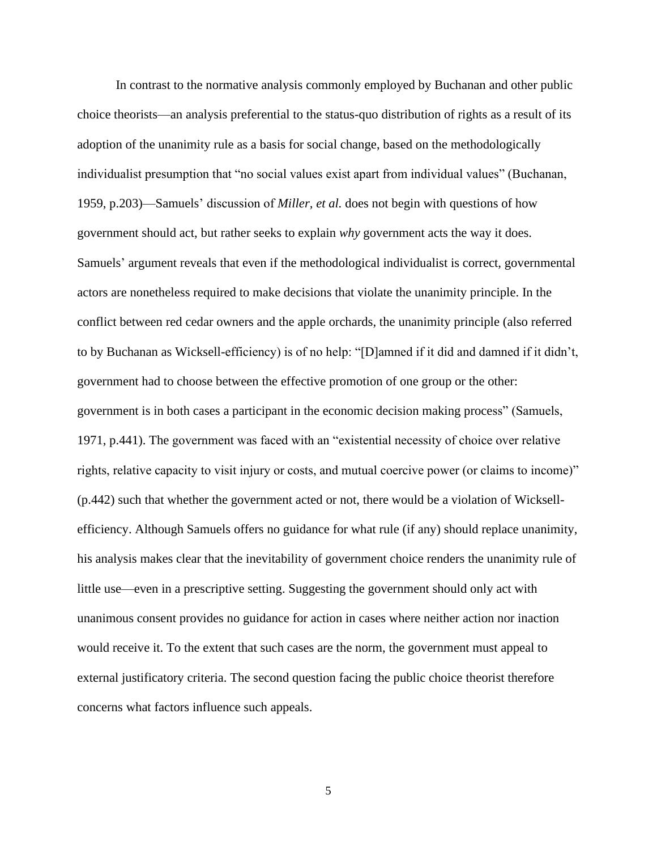In contrast to the normative analysis commonly employed by Buchanan and other public choice theorists—an analysis preferential to the status-quo distribution of rights as a result of its adoption of the unanimity rule as a basis for social change, based on the methodologically individualist presumption that "no social values exist apart from individual values" (Buchanan, 1959, p.203)—Samuels' discussion of *Miller, et al.* does not begin with questions of how government should act, but rather seeks to explain *why* government acts the way it does. Samuels' argument reveals that even if the methodological individualist is correct, governmental actors are nonetheless required to make decisions that violate the unanimity principle. In the conflict between red cedar owners and the apple orchards, the unanimity principle (also referred to by Buchanan as Wicksell-efficiency) is of no help: "[D]amned if it did and damned if it didn't, government had to choose between the effective promotion of one group or the other: government is in both cases a participant in the economic decision making process" (Samuels, 1971, p.441). The government was faced with an "existential necessity of choice over relative rights, relative capacity to visit injury or costs, and mutual coercive power (or claims to income)" (p.442) such that whether the government acted or not, there would be a violation of Wicksellefficiency. Although Samuels offers no guidance for what rule (if any) should replace unanimity, his analysis makes clear that the inevitability of government choice renders the unanimity rule of little use—even in a prescriptive setting. Suggesting the government should only act with unanimous consent provides no guidance for action in cases where neither action nor inaction would receive it. To the extent that such cases are the norm, the government must appeal to external justificatory criteria. The second question facing the public choice theorist therefore concerns what factors influence such appeals.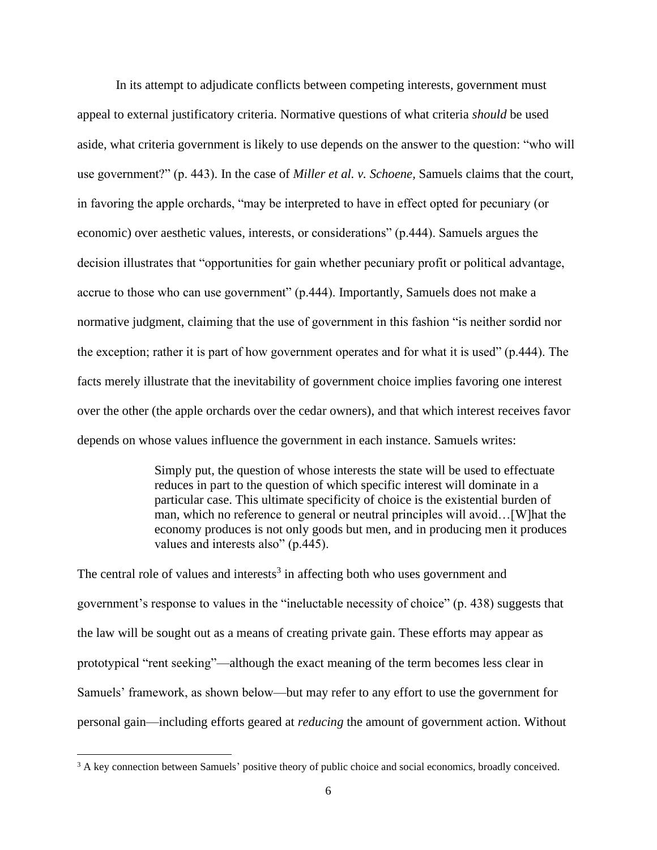In its attempt to adjudicate conflicts between competing interests, government must appeal to external justificatory criteria. Normative questions of what criteria *should* be used aside, what criteria government is likely to use depends on the answer to the question: "who will use government?" (p. 443). In the case of *Miller et al. v. Schoene,* Samuels claims that the court, in favoring the apple orchards, "may be interpreted to have in effect opted for pecuniary (or economic) over aesthetic values, interests, or considerations" (p.444). Samuels argues the decision illustrates that "opportunities for gain whether pecuniary profit or political advantage, accrue to those who can use government" (p.444). Importantly, Samuels does not make a normative judgment, claiming that the use of government in this fashion "is neither sordid nor the exception; rather it is part of how government operates and for what it is used" (p.444). The facts merely illustrate that the inevitability of government choice implies favoring one interest over the other (the apple orchards over the cedar owners), and that which interest receives favor depends on whose values influence the government in each instance. Samuels writes:

> Simply put, the question of whose interests the state will be used to effectuate reduces in part to the question of which specific interest will dominate in a particular case. This ultimate specificity of choice is the existential burden of man, which no reference to general or neutral principles will avoid…[W]hat the economy produces is not only goods but men, and in producing men it produces values and interests also" (p.445).

The central role of values and interests<sup>3</sup> in affecting both who uses government and government's response to values in the "ineluctable necessity of choice" (p. 438) suggests that the law will be sought out as a means of creating private gain. These efforts may appear as prototypical "rent seeking"—although the exact meaning of the term becomes less clear in Samuels' framework, as shown below—but may refer to any effort to use the government for personal gain—including efforts geared at *reducing* the amount of government action. Without

<sup>&</sup>lt;sup>3</sup> A key connection between Samuels' positive theory of public choice and social economics, broadly conceived.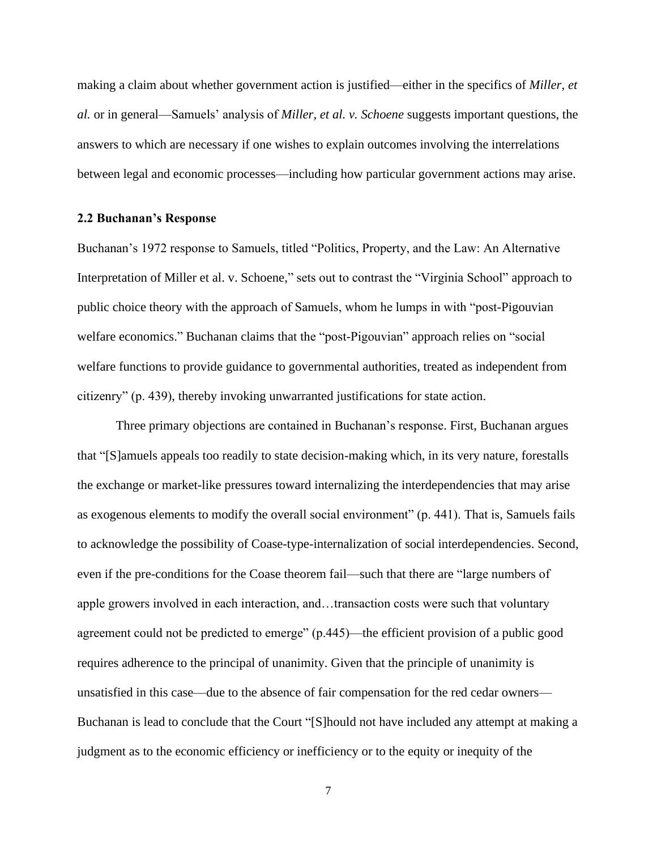making a claim about whether government action is justified—either in the specifics of *Miller, et al.* or in general—Samuels' analysis of *Miller, et al. v. Schoene* suggests important questions, the answers to which are necessary if one wishes to explain outcomes involving the interrelations between legal and economic processes—including how particular government actions may arise.

## **2.2 Buchanan's Response**

Buchanan's 1972 response to Samuels, titled "Politics, Property, and the Law: An Alternative Interpretation of Miller et al. v. Schoene," sets out to contrast the "Virginia School" approach to public choice theory with the approach of Samuels, whom he lumps in with "post-Pigouvian welfare economics." Buchanan claims that the "post-Pigouvian" approach relies on "social welfare functions to provide guidance to governmental authorities, treated as independent from citizenry" (p. 439), thereby invoking unwarranted justifications for state action.

Three primary objections are contained in Buchanan's response. First, Buchanan argues that "[S]amuels appeals too readily to state decision-making which, in its very nature, forestalls the exchange or market-like pressures toward internalizing the interdependencies that may arise as exogenous elements to modify the overall social environment" (p. 441). That is, Samuels fails to acknowledge the possibility of Coase-type-internalization of social interdependencies. Second, even if the pre-conditions for the Coase theorem fail—such that there are "large numbers of apple growers involved in each interaction, and…transaction costs were such that voluntary agreement could not be predicted to emerge" (p.445)—the efficient provision of a public good requires adherence to the principal of unanimity. Given that the principle of unanimity is unsatisfied in this case—due to the absence of fair compensation for the red cedar owners— Buchanan is lead to conclude that the Court "[S]hould not have included any attempt at making a judgment as to the economic efficiency or inefficiency or to the equity or inequity of the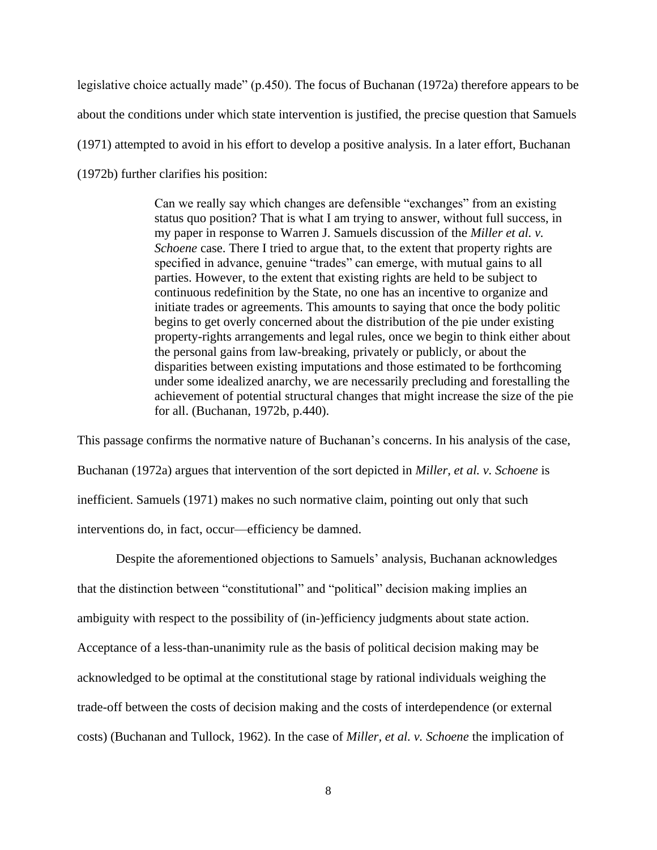legislative choice actually made" (p.450). The focus of Buchanan (1972a) therefore appears to be about the conditions under which state intervention is justified, the precise question that Samuels (1971) attempted to avoid in his effort to develop a positive analysis. In a later effort, Buchanan (1972b) further clarifies his position:

> Can we really say which changes are defensible "exchanges" from an existing status quo position? That is what I am trying to answer, without full success, in my paper in response to Warren J. Samuels discussion of the *Miller et al. v. Schoene* case. There I tried to argue that, to the extent that property rights are specified in advance, genuine "trades" can emerge, with mutual gains to all parties. However, to the extent that existing rights are held to be subject to continuous redefinition by the State, no one has an incentive to organize and initiate trades or agreements. This amounts to saying that once the body politic begins to get overly concerned about the distribution of the pie under existing property-rights arrangements and legal rules, once we begin to think either about the personal gains from law-breaking, privately or publicly, or about the disparities between existing imputations and those estimated to be forthcoming under some idealized anarchy, we are necessarily precluding and forestalling the achievement of potential structural changes that might increase the size of the pie for all. (Buchanan, 1972b, p.440).

This passage confirms the normative nature of Buchanan's concerns. In his analysis of the case, Buchanan (1972a) argues that intervention of the sort depicted in *Miller, et al. v. Schoene* is inefficient. Samuels (1971) makes no such normative claim, pointing out only that such interventions do, in fact, occur—efficiency be damned.

Despite the aforementioned objections to Samuels' analysis, Buchanan acknowledges that the distinction between "constitutional" and "political" decision making implies an ambiguity with respect to the possibility of (in-)efficiency judgments about state action. Acceptance of a less-than-unanimity rule as the basis of political decision making may be acknowledged to be optimal at the constitutional stage by rational individuals weighing the trade-off between the costs of decision making and the costs of interdependence (or external costs) (Buchanan and Tullock, 1962). In the case of *Miller, et al. v. Schoene* the implication of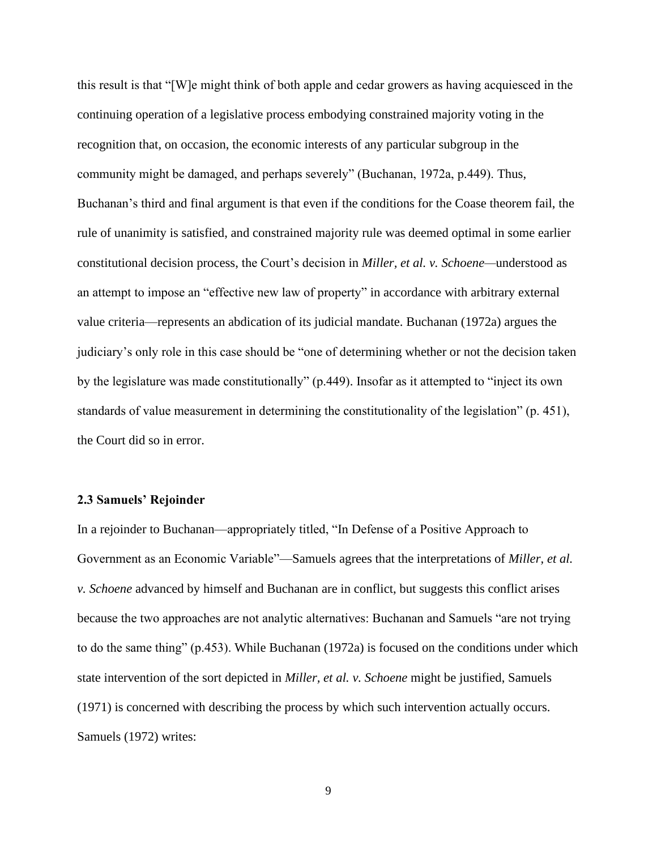this result is that "[W]e might think of both apple and cedar growers as having acquiesced in the continuing operation of a legislative process embodying constrained majority voting in the recognition that, on occasion, the economic interests of any particular subgroup in the community might be damaged, and perhaps severely" (Buchanan, 1972a, p.449). Thus, Buchanan's third and final argument is that even if the conditions for the Coase theorem fail, the rule of unanimity is satisfied, and constrained majority rule was deemed optimal in some earlier constitutional decision process, the Court's decision in *Miller, et al. v. Schoene—*understood as an attempt to impose an "effective new law of property" in accordance with arbitrary external value criteria—represents an abdication of its judicial mandate. Buchanan (1972a) argues the judiciary's only role in this case should be "one of determining whether or not the decision taken by the legislature was made constitutionally" (p.449). Insofar as it attempted to "inject its own standards of value measurement in determining the constitutionality of the legislation" (p. 451), the Court did so in error.

# **2.3 Samuels' Rejoinder**

In a rejoinder to Buchanan—appropriately titled, "In Defense of a Positive Approach to Government as an Economic Variable"—Samuels agrees that the interpretations of *Miller, et al. v. Schoene* advanced by himself and Buchanan are in conflict, but suggests this conflict arises because the two approaches are not analytic alternatives: Buchanan and Samuels "are not trying to do the same thing" (p.453). While Buchanan (1972a) is focused on the conditions under which state intervention of the sort depicted in *Miller, et al. v. Schoene* might be justified, Samuels (1971) is concerned with describing the process by which such intervention actually occurs. Samuels (1972) writes: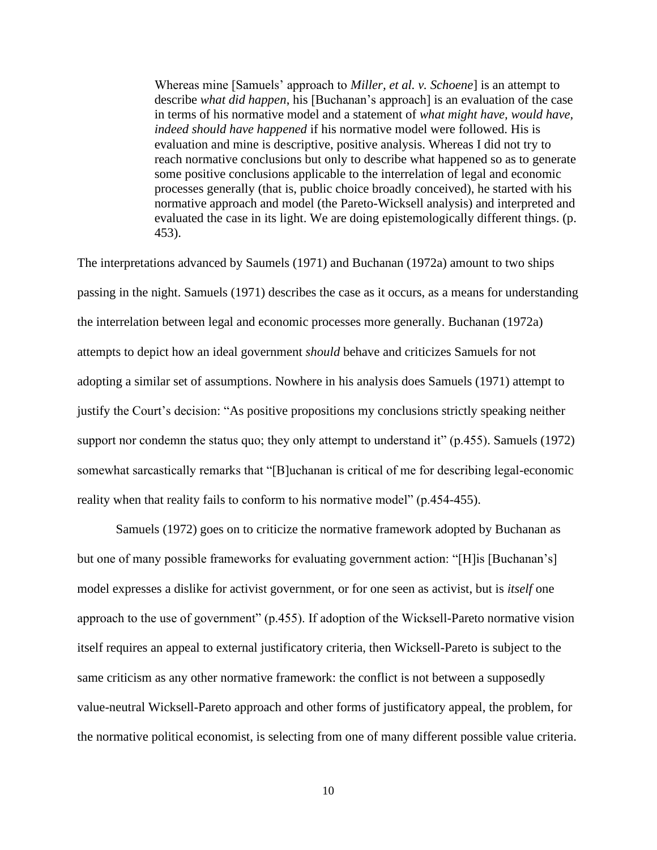Whereas mine [Samuels' approach to *Miller, et al. v. Schoene*] is an attempt to describe *what did happen*, his [Buchanan's approach] is an evaluation of the case in terms of his normative model and a statement of *what might have, would have, indeed should have happened* if his normative model were followed. His is evaluation and mine is descriptive, positive analysis. Whereas I did not try to reach normative conclusions but only to describe what happened so as to generate some positive conclusions applicable to the interrelation of legal and economic processes generally (that is, public choice broadly conceived), he started with his normative approach and model (the Pareto-Wicksell analysis) and interpreted and evaluated the case in its light. We are doing epistemologically different things. (p. 453).

The interpretations advanced by Saumels (1971) and Buchanan (1972a) amount to two ships passing in the night. Samuels (1971) describes the case as it occurs, as a means for understanding the interrelation between legal and economic processes more generally. Buchanan (1972a) attempts to depict how an ideal government *should* behave and criticizes Samuels for not adopting a similar set of assumptions. Nowhere in his analysis does Samuels (1971) attempt to justify the Court's decision: "As positive propositions my conclusions strictly speaking neither support nor condemn the status quo; they only attempt to understand it" (p.455). Samuels (1972) somewhat sarcastically remarks that "[B]uchanan is critical of me for describing legal-economic reality when that reality fails to conform to his normative model" (p.454-455).

Samuels (1972) goes on to criticize the normative framework adopted by Buchanan as but one of many possible frameworks for evaluating government action: "[H]is [Buchanan's] model expresses a dislike for activist government, or for one seen as activist, but is *itself* one approach to the use of government" (p.455). If adoption of the Wicksell-Pareto normative vision itself requires an appeal to external justificatory criteria, then Wicksell-Pareto is subject to the same criticism as any other normative framework: the conflict is not between a supposedly value-neutral Wicksell-Pareto approach and other forms of justificatory appeal, the problem, for the normative political economist, is selecting from one of many different possible value criteria.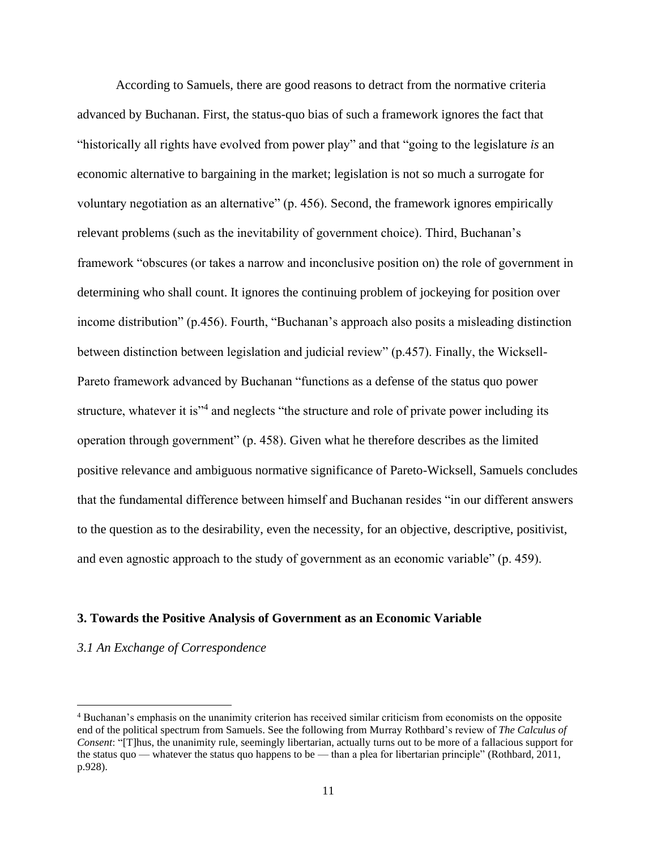According to Samuels, there are good reasons to detract from the normative criteria advanced by Buchanan. First, the status-quo bias of such a framework ignores the fact that "historically all rights have evolved from power play" and that "going to the legislature *is* an economic alternative to bargaining in the market; legislation is not so much a surrogate for voluntary negotiation as an alternative" (p. 456). Second, the framework ignores empirically relevant problems (such as the inevitability of government choice). Third, Buchanan's framework "obscures (or takes a narrow and inconclusive position on) the role of government in determining who shall count. It ignores the continuing problem of jockeying for position over income distribution" (p.456). Fourth, "Buchanan's approach also posits a misleading distinction between distinction between legislation and judicial review" (p.457). Finally, the Wicksell-Pareto framework advanced by Buchanan "functions as a defense of the status quo power structure, whatever it is<sup>34</sup> and neglects "the structure and role of private power including its operation through government" (p. 458). Given what he therefore describes as the limited positive relevance and ambiguous normative significance of Pareto-Wicksell, Samuels concludes that the fundamental difference between himself and Buchanan resides "in our different answers to the question as to the desirability, even the necessity, for an objective, descriptive, positivist, and even agnostic approach to the study of government as an economic variable" (p. 459).

#### **3. Towards the Positive Analysis of Government as an Economic Variable**

### *3.1 An Exchange of Correspondence*

<sup>4</sup> Buchanan's emphasis on the unanimity criterion has received similar criticism from economists on the opposite end of the political spectrum from Samuels. See the following from Murray Rothbard's review of *The Calculus of Consent*: "[T]hus, the unanimity rule, seemingly libertarian, actually turns out to be more of a fallacious support for the status quo — whatever the status quo happens to be — than a plea for libertarian principle" (Rothbard, 2011, p.928).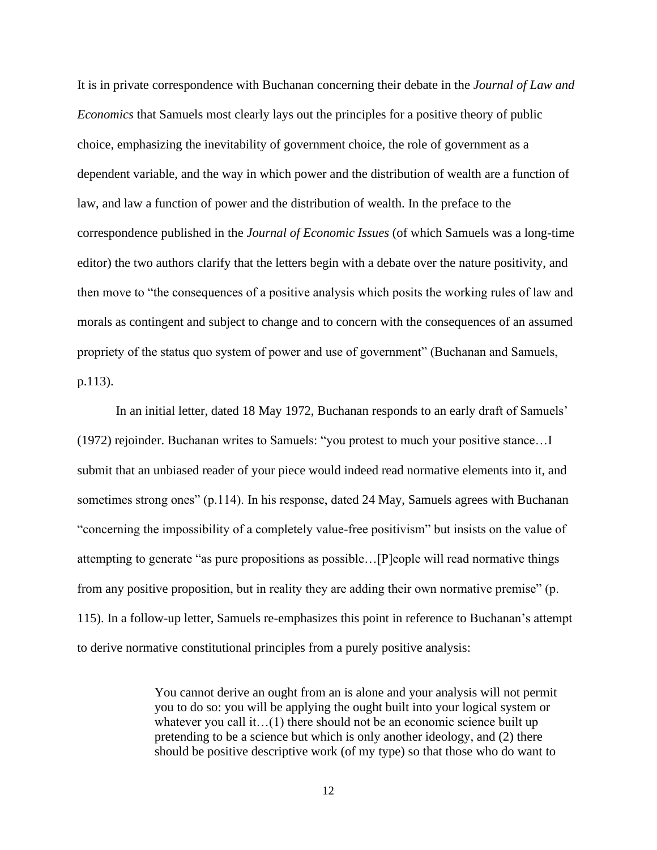It is in private correspondence with Buchanan concerning their debate in the *Journal of Law and Economics* that Samuels most clearly lays out the principles for a positive theory of public choice, emphasizing the inevitability of government choice, the role of government as a dependent variable, and the way in which power and the distribution of wealth are a function of law, and law a function of power and the distribution of wealth. In the preface to the correspondence published in the *Journal of Economic Issues* (of which Samuels was a long-time editor) the two authors clarify that the letters begin with a debate over the nature positivity, and then move to "the consequences of a positive analysis which posits the working rules of law and morals as contingent and subject to change and to concern with the consequences of an assumed propriety of the status quo system of power and use of government" (Buchanan and Samuels, p.113).

In an initial letter, dated 18 May 1972, Buchanan responds to an early draft of Samuels' (1972) rejoinder. Buchanan writes to Samuels: "you protest to much your positive stance…I submit that an unbiased reader of your piece would indeed read normative elements into it, and sometimes strong ones" (p.114). In his response, dated 24 May, Samuels agrees with Buchanan "concerning the impossibility of a completely value-free positivism" but insists on the value of attempting to generate "as pure propositions as possible…[P]eople will read normative things from any positive proposition, but in reality they are adding their own normative premise" (p. 115). In a follow-up letter, Samuels re-emphasizes this point in reference to Buchanan's attempt to derive normative constitutional principles from a purely positive analysis:

> You cannot derive an ought from an is alone and your analysis will not permit you to do so: you will be applying the ought built into your logical system or whatever you call it...(1) there should not be an economic science built up pretending to be a science but which is only another ideology, and (2) there should be positive descriptive work (of my type) so that those who do want to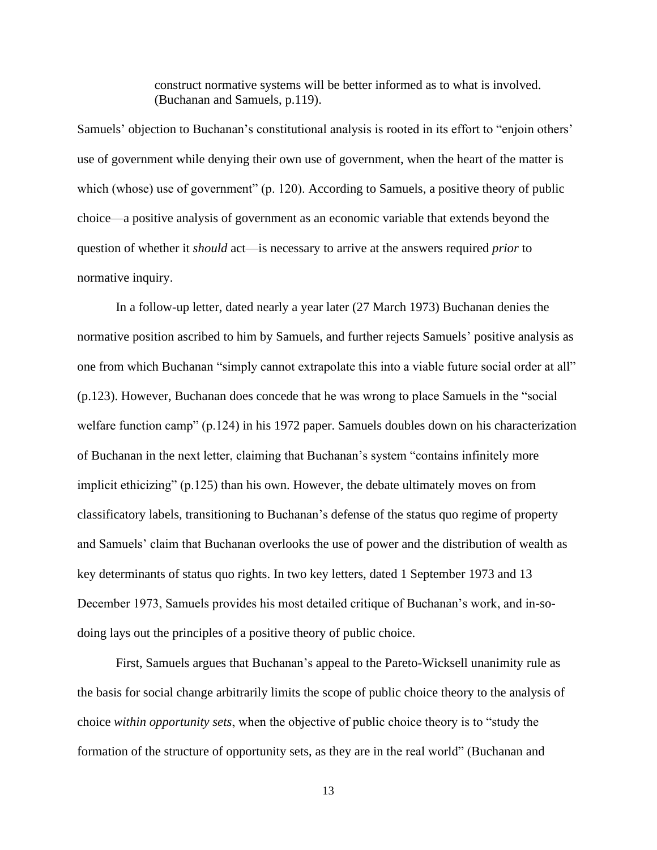construct normative systems will be better informed as to what is involved. (Buchanan and Samuels, p.119).

Samuels' objection to Buchanan's constitutional analysis is rooted in its effort to "enjoin others' use of government while denying their own use of government, when the heart of the matter is which (whose) use of government" (p. 120). According to Samuels, a positive theory of public choice—a positive analysis of government as an economic variable that extends beyond the question of whether it *should* act—is necessary to arrive at the answers required *prior* to normative inquiry.

In a follow-up letter, dated nearly a year later (27 March 1973) Buchanan denies the normative position ascribed to him by Samuels, and further rejects Samuels' positive analysis as one from which Buchanan "simply cannot extrapolate this into a viable future social order at all" (p.123). However, Buchanan does concede that he was wrong to place Samuels in the "social welfare function camp" (p.124) in his 1972 paper. Samuels doubles down on his characterization of Buchanan in the next letter, claiming that Buchanan's system "contains infinitely more implicit ethicizing" (p.125) than his own. However, the debate ultimately moves on from classificatory labels, transitioning to Buchanan's defense of the status quo regime of property and Samuels' claim that Buchanan overlooks the use of power and the distribution of wealth as key determinants of status quo rights. In two key letters, dated 1 September 1973 and 13 December 1973, Samuels provides his most detailed critique of Buchanan's work, and in-sodoing lays out the principles of a positive theory of public choice.

First, Samuels argues that Buchanan's appeal to the Pareto-Wicksell unanimity rule as the basis for social change arbitrarily limits the scope of public choice theory to the analysis of choice *within opportunity sets*, when the objective of public choice theory is to "study the formation of the structure of opportunity sets, as they are in the real world" (Buchanan and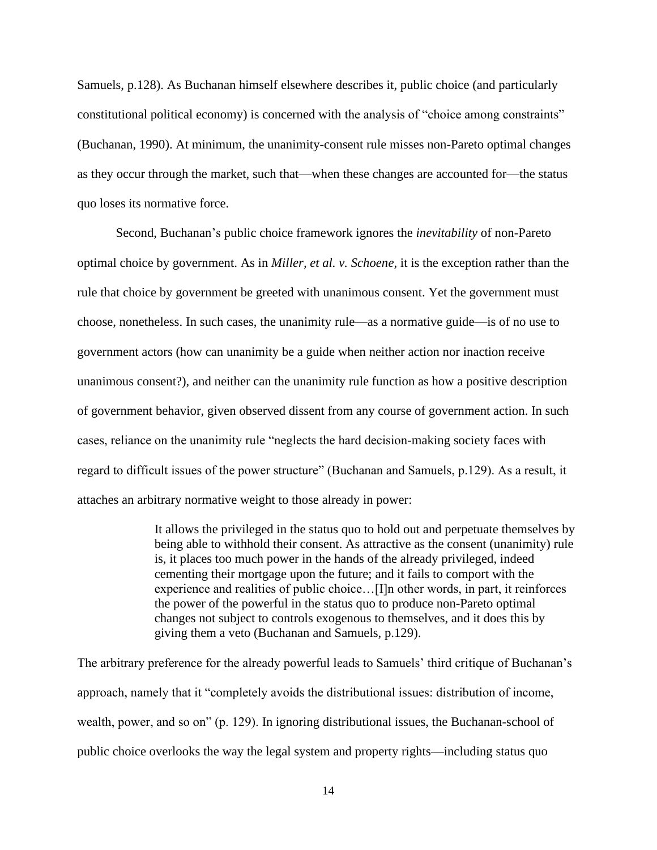Samuels, p.128). As Buchanan himself elsewhere describes it, public choice (and particularly constitutional political economy) is concerned with the analysis of "choice among constraints" (Buchanan, 1990). At minimum, the unanimity-consent rule misses non-Pareto optimal changes as they occur through the market, such that—when these changes are accounted for—the status quo loses its normative force.

Second, Buchanan's public choice framework ignores the *inevitability* of non-Pareto optimal choice by government. As in *Miller, et al. v. Schoene,* it is the exception rather than the rule that choice by government be greeted with unanimous consent. Yet the government must choose, nonetheless. In such cases, the unanimity rule—as a normative guide—is of no use to government actors (how can unanimity be a guide when neither action nor inaction receive unanimous consent?), and neither can the unanimity rule function as how a positive description of government behavior, given observed dissent from any course of government action. In such cases, reliance on the unanimity rule "neglects the hard decision-making society faces with regard to difficult issues of the power structure" (Buchanan and Samuels, p.129). As a result, it attaches an arbitrary normative weight to those already in power:

> It allows the privileged in the status quo to hold out and perpetuate themselves by being able to withhold their consent. As attractive as the consent (unanimity) rule is, it places too much power in the hands of the already privileged, indeed cementing their mortgage upon the future; and it fails to comport with the experience and realities of public choice…[I]n other words, in part, it reinforces the power of the powerful in the status quo to produce non-Pareto optimal changes not subject to controls exogenous to themselves, and it does this by giving them a veto (Buchanan and Samuels, p.129).

The arbitrary preference for the already powerful leads to Samuels' third critique of Buchanan's approach, namely that it "completely avoids the distributional issues: distribution of income, wealth, power, and so on" (p. 129). In ignoring distributional issues, the Buchanan-school of public choice overlooks the way the legal system and property rights—including status quo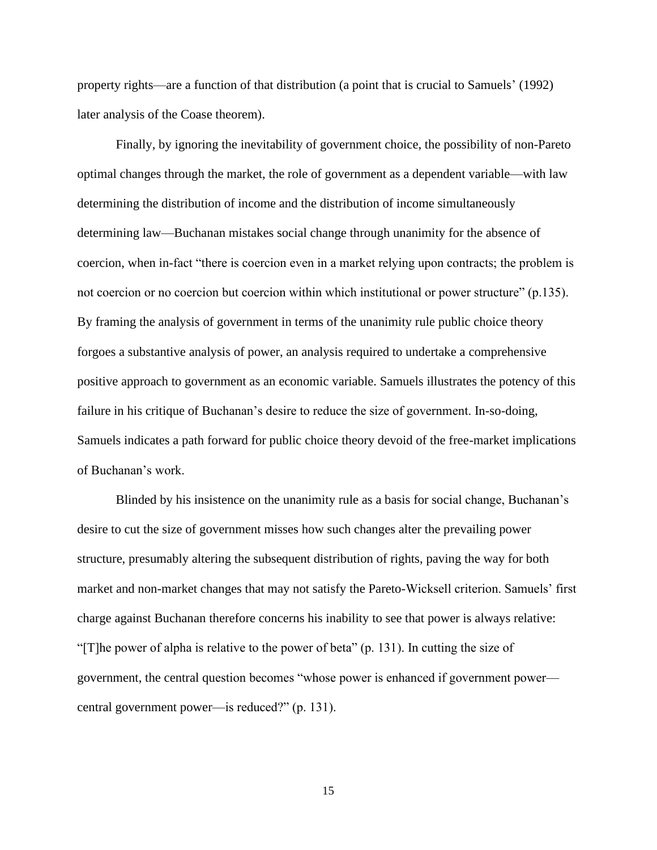property rights—are a function of that distribution (a point that is crucial to Samuels' (1992) later analysis of the Coase theorem).

Finally, by ignoring the inevitability of government choice, the possibility of non-Pareto optimal changes through the market, the role of government as a dependent variable—with law determining the distribution of income and the distribution of income simultaneously determining law—Buchanan mistakes social change through unanimity for the absence of coercion, when in-fact "there is coercion even in a market relying upon contracts; the problem is not coercion or no coercion but coercion within which institutional or power structure" (p.135). By framing the analysis of government in terms of the unanimity rule public choice theory forgoes a substantive analysis of power, an analysis required to undertake a comprehensive positive approach to government as an economic variable. Samuels illustrates the potency of this failure in his critique of Buchanan's desire to reduce the size of government. In-so-doing, Samuels indicates a path forward for public choice theory devoid of the free-market implications of Buchanan's work.

Blinded by his insistence on the unanimity rule as a basis for social change, Buchanan's desire to cut the size of government misses how such changes alter the prevailing power structure, presumably altering the subsequent distribution of rights, paving the way for both market and non-market changes that may not satisfy the Pareto-Wicksell criterion. Samuels' first charge against Buchanan therefore concerns his inability to see that power is always relative: "[T]he power of alpha is relative to the power of beta" (p. 131). In cutting the size of government, the central question becomes "whose power is enhanced if government power central government power—is reduced?" (p. 131).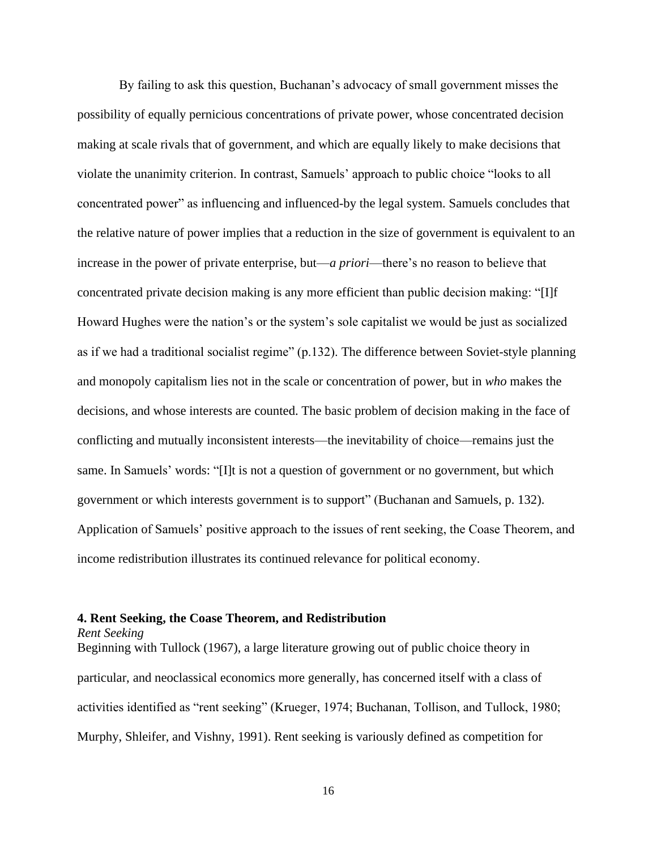By failing to ask this question, Buchanan's advocacy of small government misses the possibility of equally pernicious concentrations of private power, whose concentrated decision making at scale rivals that of government, and which are equally likely to make decisions that violate the unanimity criterion. In contrast, Samuels' approach to public choice "looks to all concentrated power" as influencing and influenced-by the legal system. Samuels concludes that the relative nature of power implies that a reduction in the size of government is equivalent to an increase in the power of private enterprise, but—*a priori*—there's no reason to believe that concentrated private decision making is any more efficient than public decision making: "[I]f Howard Hughes were the nation's or the system's sole capitalist we would be just as socialized as if we had a traditional socialist regime" (p.132). The difference between Soviet-style planning and monopoly capitalism lies not in the scale or concentration of power, but in *who* makes the decisions, and whose interests are counted. The basic problem of decision making in the face of conflicting and mutually inconsistent interests—the inevitability of choice—remains just the same. In Samuels' words: "[I]t is not a question of government or no government, but which government or which interests government is to support" (Buchanan and Samuels, p. 132). Application of Samuels' positive approach to the issues of rent seeking, the Coase Theorem, and income redistribution illustrates its continued relevance for political economy.

# **4. Rent Seeking, the Coase Theorem, and Redistribution**

*Rent Seeking*

Beginning with Tullock (1967), a large literature growing out of public choice theory in particular, and neoclassical economics more generally, has concerned itself with a class of activities identified as "rent seeking" (Krueger, 1974; Buchanan, Tollison, and Tullock, 1980; Murphy, Shleifer, and Vishny, 1991). Rent seeking is variously defined as competition for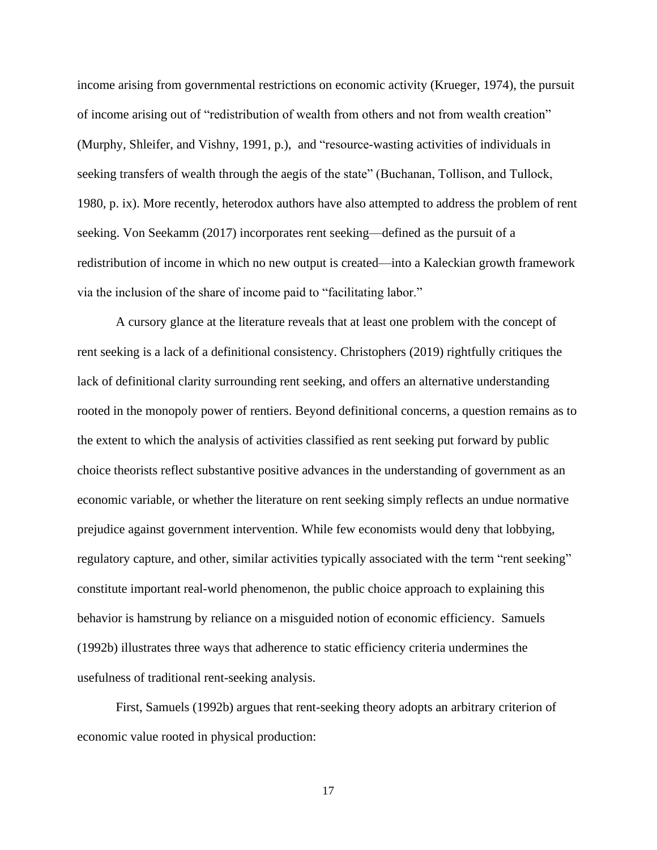income arising from governmental restrictions on economic activity (Krueger, 1974), the pursuit of income arising out of "redistribution of wealth from others and not from wealth creation" (Murphy, Shleifer, and Vishny, 1991, p.), and "resource-wasting activities of individuals in seeking transfers of wealth through the aegis of the state" (Buchanan, Tollison, and Tullock, 1980, p. ix). More recently, heterodox authors have also attempted to address the problem of rent seeking. Von Seekamm (2017) incorporates rent seeking—defined as the pursuit of a redistribution of income in which no new output is created—into a Kaleckian growth framework via the inclusion of the share of income paid to "facilitating labor."

A cursory glance at the literature reveals that at least one problem with the concept of rent seeking is a lack of a definitional consistency. Christophers (2019) rightfully critiques the lack of definitional clarity surrounding rent seeking, and offers an alternative understanding rooted in the monopoly power of rentiers. Beyond definitional concerns, a question remains as to the extent to which the analysis of activities classified as rent seeking put forward by public choice theorists reflect substantive positive advances in the understanding of government as an economic variable, or whether the literature on rent seeking simply reflects an undue normative prejudice against government intervention. While few economists would deny that lobbying, regulatory capture, and other, similar activities typically associated with the term "rent seeking" constitute important real-world phenomenon, the public choice approach to explaining this behavior is hamstrung by reliance on a misguided notion of economic efficiency. Samuels (1992b) illustrates three ways that adherence to static efficiency criteria undermines the usefulness of traditional rent-seeking analysis.

First, Samuels (1992b) argues that rent-seeking theory adopts an arbitrary criterion of economic value rooted in physical production: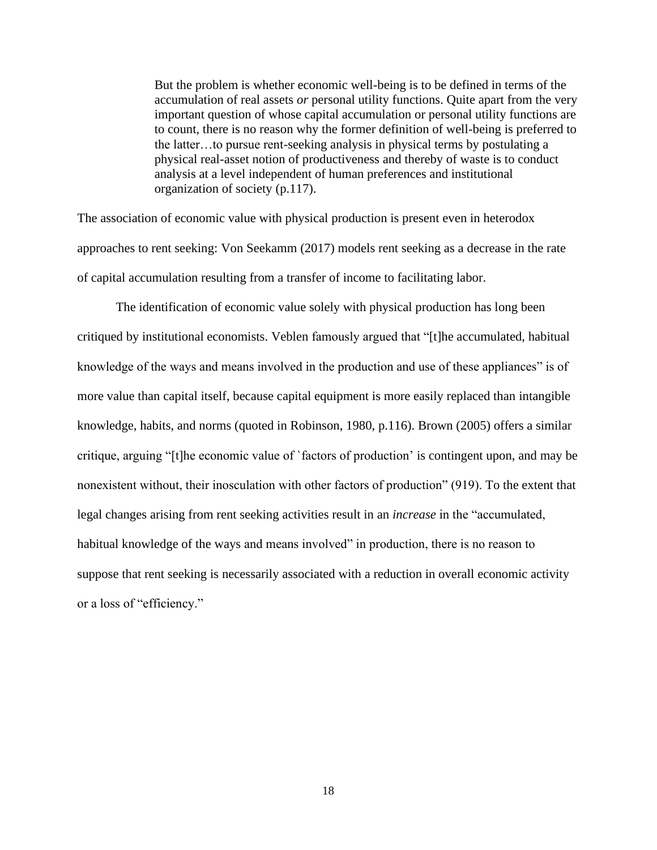But the problem is whether economic well-being is to be defined in terms of the accumulation of real assets *or* personal utility functions. Quite apart from the very important question of whose capital accumulation or personal utility functions are to count, there is no reason why the former definition of well-being is preferred to the latter…to pursue rent-seeking analysis in physical terms by postulating a physical real-asset notion of productiveness and thereby of waste is to conduct analysis at a level independent of human preferences and institutional organization of society (p.117).

The association of economic value with physical production is present even in heterodox approaches to rent seeking: Von Seekamm (2017) models rent seeking as a decrease in the rate of capital accumulation resulting from a transfer of income to facilitating labor.

The identification of economic value solely with physical production has long been critiqued by institutional economists. Veblen famously argued that "[t]he accumulated, habitual knowledge of the ways and means involved in the production and use of these appliances" is of more value than capital itself, because capital equipment is more easily replaced than intangible knowledge, habits, and norms (quoted in Robinson, 1980, p.116). Brown (2005) offers a similar critique, arguing "[t]he economic value of `factors of production' is contingent upon, and may be nonexistent without, their inosculation with other factors of production" (919). To the extent that legal changes arising from rent seeking activities result in an *increase* in the "accumulated, habitual knowledge of the ways and means involved" in production, there is no reason to suppose that rent seeking is necessarily associated with a reduction in overall economic activity or a loss of "efficiency."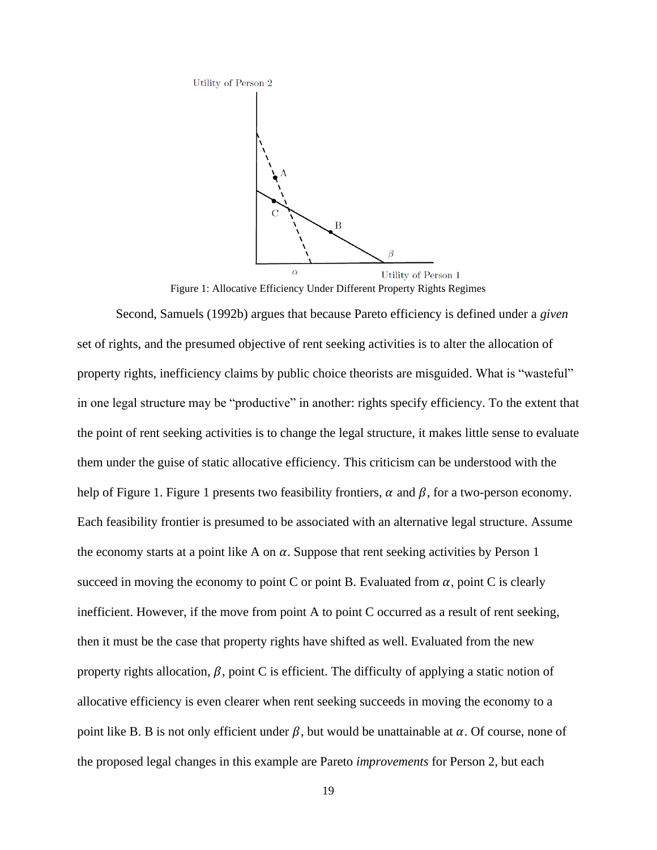

Figure 1: Allocative Efficiency Under Different Property Rights Regimes

Second, Samuels (1992b) argues that because Pareto efficiency is defined under a *given* set of rights, and the presumed objective of rent seeking activities is to alter the allocation of property rights, inefficiency claims by public choice theorists are misguided. What is "wasteful" in one legal structure may be "productive" in another: rights specify efficiency. To the extent that the point of rent seeking activities is to change the legal structure, it makes little sense to evaluate them under the guise of static allocative efficiency. This criticism can be understood with the help of Figure 1. Figure 1 presents two feasibility frontiers,  $\alpha$  and  $\beta$ , for a two-person economy. Each feasibility frontier is presumed to be associated with an alternative legal structure. Assume the economy starts at a point like A on  $\alpha$ . Suppose that rent seeking activities by Person 1 succeed in moving the economy to point C or point B. Evaluated from  $\alpha$ , point C is clearly inefficient. However, if the move from point A to point C occurred as a result of rent seeking, then it must be the case that property rights have shifted as well. Evaluated from the new property rights allocation,  $\beta$ , point C is efficient. The difficulty of applying a static notion of allocative efficiency is even clearer when rent seeking succeeds in moving the economy to a point like B. B is not only efficient under  $\beta$ , but would be unattainable at  $\alpha$ . Of course, none of the proposed legal changes in this example are Pareto *improvements* for Person 2, but each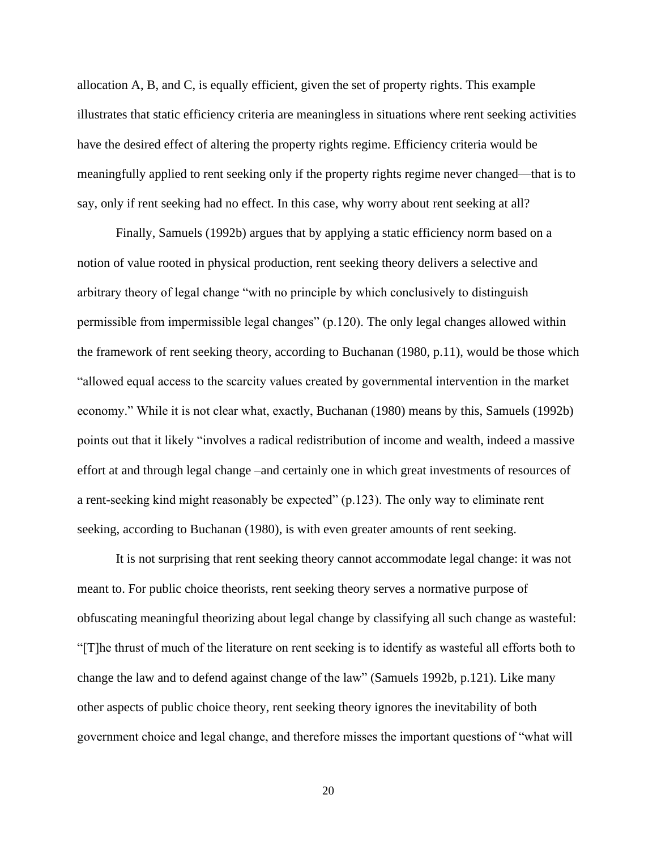allocation A, B, and C, is equally efficient, given the set of property rights. This example illustrates that static efficiency criteria are meaningless in situations where rent seeking activities have the desired effect of altering the property rights regime. Efficiency criteria would be meaningfully applied to rent seeking only if the property rights regime never changed—that is to say, only if rent seeking had no effect. In this case, why worry about rent seeking at all?

Finally, Samuels (1992b) argues that by applying a static efficiency norm based on a notion of value rooted in physical production, rent seeking theory delivers a selective and arbitrary theory of legal change "with no principle by which conclusively to distinguish permissible from impermissible legal changes" (p.120). The only legal changes allowed within the framework of rent seeking theory, according to Buchanan (1980, p.11), would be those which "allowed equal access to the scarcity values created by governmental intervention in the market economy." While it is not clear what, exactly, Buchanan (1980) means by this, Samuels (1992b) points out that it likely "involves a radical redistribution of income and wealth, indeed a massive effort at and through legal change –and certainly one in which great investments of resources of a rent-seeking kind might reasonably be expected" (p.123). The only way to eliminate rent seeking, according to Buchanan (1980), is with even greater amounts of rent seeking.

It is not surprising that rent seeking theory cannot accommodate legal change: it was not meant to. For public choice theorists, rent seeking theory serves a normative purpose of obfuscating meaningful theorizing about legal change by classifying all such change as wasteful: "[T]he thrust of much of the literature on rent seeking is to identify as wasteful all efforts both to change the law and to defend against change of the law" (Samuels 1992b, p.121). Like many other aspects of public choice theory, rent seeking theory ignores the inevitability of both government choice and legal change, and therefore misses the important questions of "what will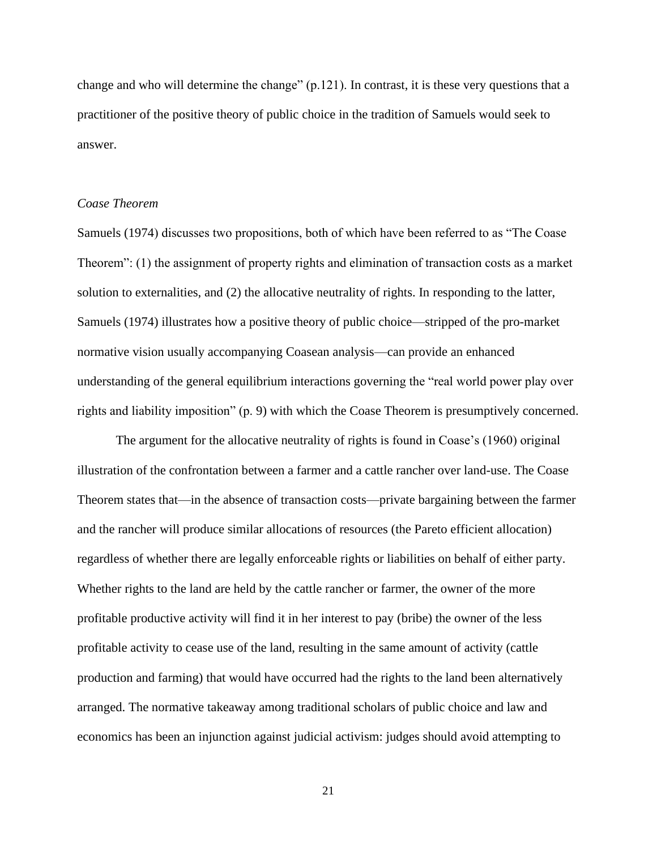change and who will determine the change" (p.121). In contrast, it is these very questions that a practitioner of the positive theory of public choice in the tradition of Samuels would seek to answer.

### *Coase Theorem*

Samuels (1974) discusses two propositions, both of which have been referred to as "The Coase Theorem": (1) the assignment of property rights and elimination of transaction costs as a market solution to externalities, and (2) the allocative neutrality of rights. In responding to the latter, Samuels (1974) illustrates how a positive theory of public choice—stripped of the pro-market normative vision usually accompanying Coasean analysis—can provide an enhanced understanding of the general equilibrium interactions governing the "real world power play over rights and liability imposition" (p. 9) with which the Coase Theorem is presumptively concerned.

The argument for the allocative neutrality of rights is found in Coase's (1960) original illustration of the confrontation between a farmer and a cattle rancher over land-use. The Coase Theorem states that—in the absence of transaction costs—private bargaining between the farmer and the rancher will produce similar allocations of resources (the Pareto efficient allocation) regardless of whether there are legally enforceable rights or liabilities on behalf of either party. Whether rights to the land are held by the cattle rancher or farmer, the owner of the more profitable productive activity will find it in her interest to pay (bribe) the owner of the less profitable activity to cease use of the land, resulting in the same amount of activity (cattle production and farming) that would have occurred had the rights to the land been alternatively arranged. The normative takeaway among traditional scholars of public choice and law and economics has been an injunction against judicial activism: judges should avoid attempting to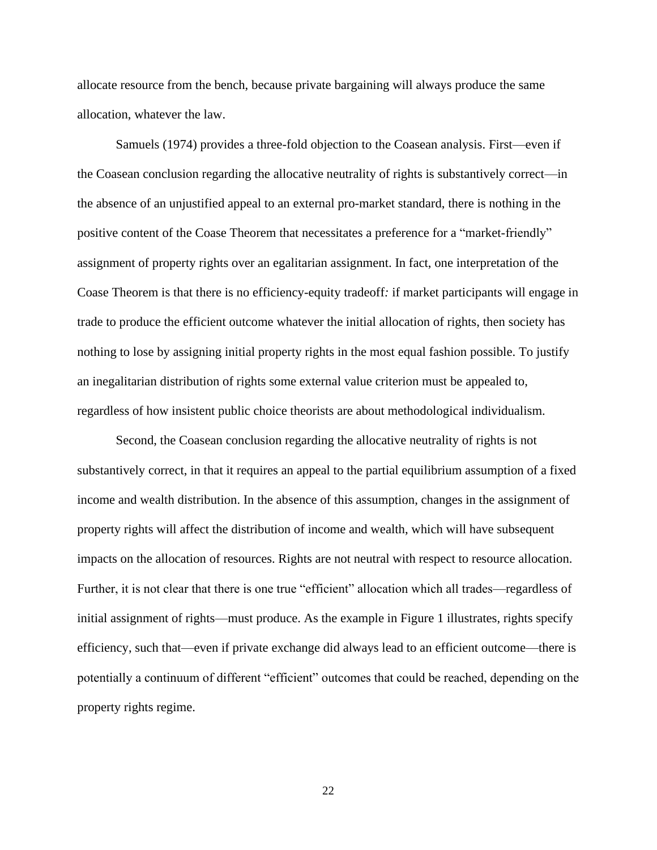allocate resource from the bench, because private bargaining will always produce the same allocation, whatever the law.

Samuels (1974) provides a three-fold objection to the Coasean analysis. First—even if the Coasean conclusion regarding the allocative neutrality of rights is substantively correct—in the absence of an unjustified appeal to an external pro-market standard, there is nothing in the positive content of the Coase Theorem that necessitates a preference for a "market-friendly" assignment of property rights over an egalitarian assignment. In fact, one interpretation of the Coase Theorem is that there is no efficiency-equity tradeoff*:* if market participants will engage in trade to produce the efficient outcome whatever the initial allocation of rights, then society has nothing to lose by assigning initial property rights in the most equal fashion possible. To justify an inegalitarian distribution of rights some external value criterion must be appealed to, regardless of how insistent public choice theorists are about methodological individualism.

Second, the Coasean conclusion regarding the allocative neutrality of rights is not substantively correct, in that it requires an appeal to the partial equilibrium assumption of a fixed income and wealth distribution. In the absence of this assumption, changes in the assignment of property rights will affect the distribution of income and wealth, which will have subsequent impacts on the allocation of resources. Rights are not neutral with respect to resource allocation. Further, it is not clear that there is one true "efficient" allocation which all trades—regardless of initial assignment of rights—must produce. As the example in Figure 1 illustrates, rights specify efficiency, such that—even if private exchange did always lead to an efficient outcome—there is potentially a continuum of different "efficient" outcomes that could be reached, depending on the property rights regime.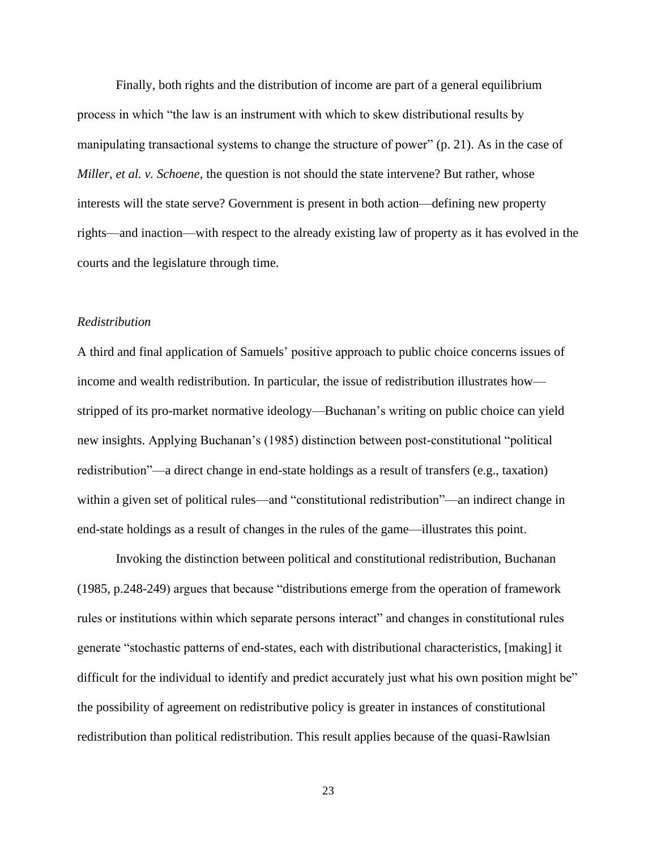Finally, both rights and the distribution of income are part of a general equilibrium process in which "the law is an instrument with which to skew distributional results by manipulating transactional systems to change the structure of power" (p. 21). As in the case of *Miller, et al. v. Schoene,* the question is not should the state intervene? But rather, whose interests will the state serve? Government is present in both action—defining new property rights—and inaction—with respect to the already existing law of property as it has evolved in the courts and the legislature through time.

# *Redistribution*

A third and final application of Samuels' positive approach to public choice concerns issues of income and wealth redistribution. In particular, the issue of redistribution illustrates how stripped of its pro-market normative ideology—Buchanan's writing on public choice can yield new insights. Applying Buchanan's (1985) distinction between post-constitutional "political redistribution"—a direct change in end-state holdings as a result of transfers (e.g., taxation) within a given set of political rules—and "constitutional redistribution"—an indirect change in end-state holdings as a result of changes in the rules of the game—illustrates this point.

Invoking the distinction between political and constitutional redistribution, Buchanan (1985, p.248-249) argues that because "distributions emerge from the operation of framework rules or institutions within which separate persons interact" and changes in constitutional rules generate "stochastic patterns of end-states, each with distributional characteristics, [making] it difficult for the individual to identify and predict accurately just what his own position might be" the possibility of agreement on redistributive policy is greater in instances of constitutional redistribution than political redistribution. This result applies because of the quasi-Rawlsian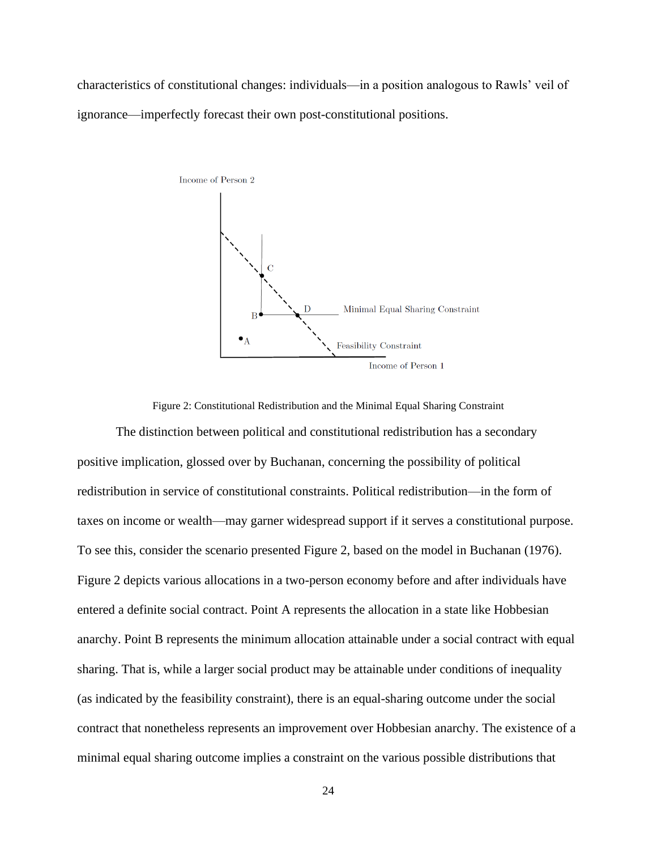characteristics of constitutional changes: individuals—in a position analogous to Rawls' veil of ignorance—imperfectly forecast their own post-constitutional positions.



Figure 2: Constitutional Redistribution and the Minimal Equal Sharing Constraint

The distinction between political and constitutional redistribution has a secondary positive implication, glossed over by Buchanan, concerning the possibility of political redistribution in service of constitutional constraints. Political redistribution—in the form of taxes on income or wealth—may garner widespread support if it serves a constitutional purpose. To see this, consider the scenario presented Figure 2, based on the model in Buchanan (1976). Figure 2 depicts various allocations in a two-person economy before and after individuals have entered a definite social contract. Point A represents the allocation in a state like Hobbesian anarchy. Point B represents the minimum allocation attainable under a social contract with equal sharing. That is, while a larger social product may be attainable under conditions of inequality (as indicated by the feasibility constraint), there is an equal-sharing outcome under the social contract that nonetheless represents an improvement over Hobbesian anarchy. The existence of a minimal equal sharing outcome implies a constraint on the various possible distributions that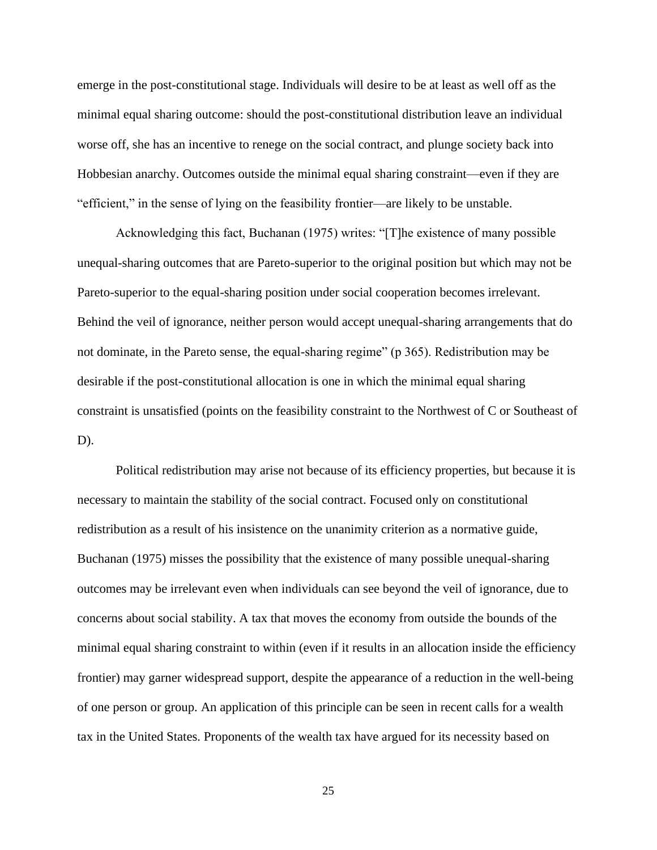emerge in the post-constitutional stage. Individuals will desire to be at least as well off as the minimal equal sharing outcome: should the post-constitutional distribution leave an individual worse off, she has an incentive to renege on the social contract, and plunge society back into Hobbesian anarchy. Outcomes outside the minimal equal sharing constraint—even if they are "efficient," in the sense of lying on the feasibility frontier—are likely to be unstable.

Acknowledging this fact, Buchanan (1975) writes: "[T]he existence of many possible unequal-sharing outcomes that are Pareto-superior to the original position but which may not be Pareto-superior to the equal-sharing position under social cooperation becomes irrelevant. Behind the veil of ignorance, neither person would accept unequal-sharing arrangements that do not dominate, in the Pareto sense, the equal-sharing regime" (p 365). Redistribution may be desirable if the post-constitutional allocation is one in which the minimal equal sharing constraint is unsatisfied (points on the feasibility constraint to the Northwest of C or Southeast of D).

Political redistribution may arise not because of its efficiency properties, but because it is necessary to maintain the stability of the social contract. Focused only on constitutional redistribution as a result of his insistence on the unanimity criterion as a normative guide, Buchanan (1975) misses the possibility that the existence of many possible unequal-sharing outcomes may be irrelevant even when individuals can see beyond the veil of ignorance, due to concerns about social stability. A tax that moves the economy from outside the bounds of the minimal equal sharing constraint to within (even if it results in an allocation inside the efficiency frontier) may garner widespread support, despite the appearance of a reduction in the well-being of one person or group. An application of this principle can be seen in recent calls for a wealth tax in the United States. Proponents of the wealth tax have argued for its necessity based on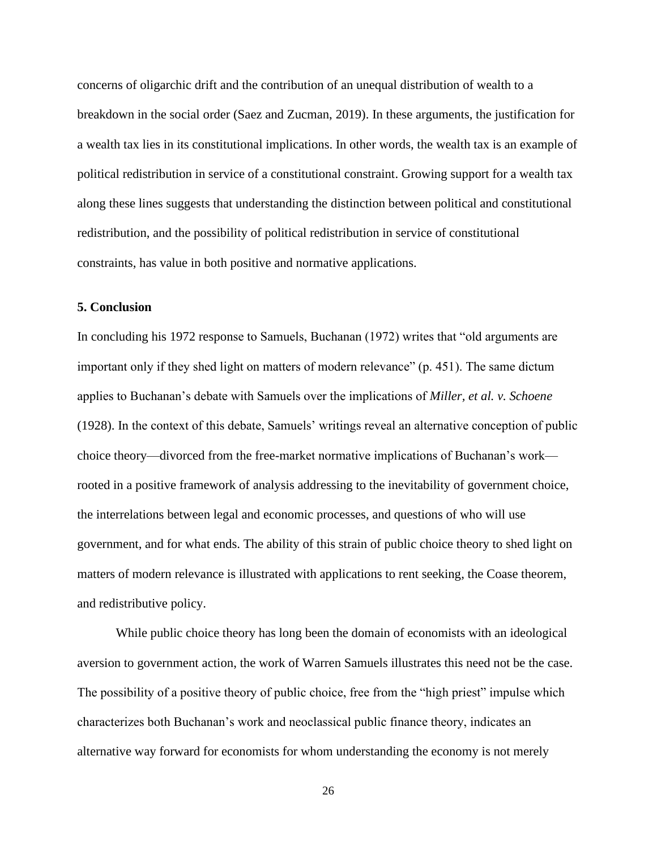concerns of oligarchic drift and the contribution of an unequal distribution of wealth to a breakdown in the social order (Saez and Zucman, 2019). In these arguments, the justification for a wealth tax lies in its constitutional implications. In other words, the wealth tax is an example of political redistribution in service of a constitutional constraint. Growing support for a wealth tax along these lines suggests that understanding the distinction between political and constitutional redistribution, and the possibility of political redistribution in service of constitutional constraints, has value in both positive and normative applications.

# **5. Conclusion**

In concluding his 1972 response to Samuels, Buchanan (1972) writes that "old arguments are important only if they shed light on matters of modern relevance" (p. 451). The same dictum applies to Buchanan's debate with Samuels over the implications of *Miller, et al. v. Schoene* (1928). In the context of this debate, Samuels' writings reveal an alternative conception of public choice theory—divorced from the free-market normative implications of Buchanan's work rooted in a positive framework of analysis addressing to the inevitability of government choice, the interrelations between legal and economic processes, and questions of who will use government, and for what ends. The ability of this strain of public choice theory to shed light on matters of modern relevance is illustrated with applications to rent seeking, the Coase theorem, and redistributive policy.

While public choice theory has long been the domain of economists with an ideological aversion to government action, the work of Warren Samuels illustrates this need not be the case. The possibility of a positive theory of public choice, free from the "high priest" impulse which characterizes both Buchanan's work and neoclassical public finance theory, indicates an alternative way forward for economists for whom understanding the economy is not merely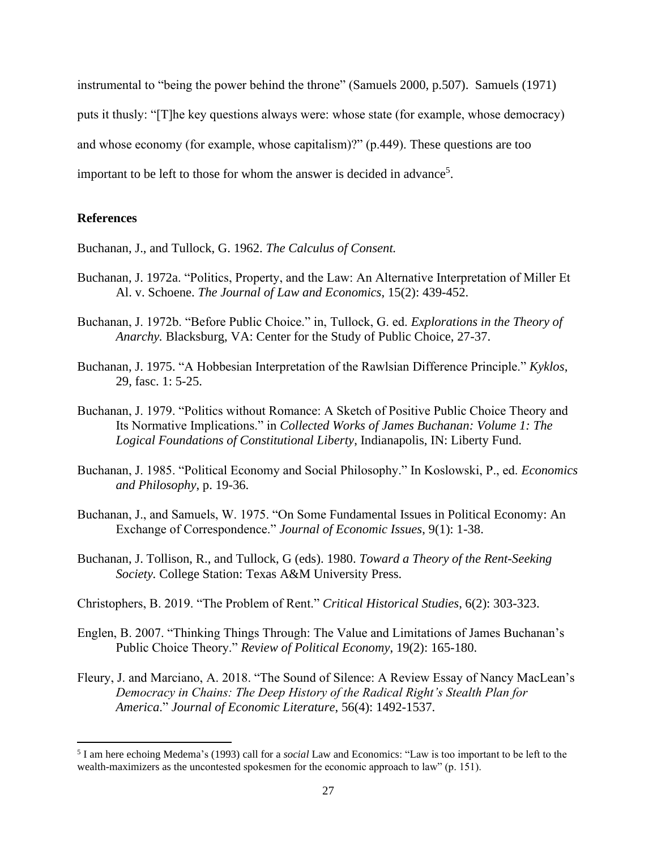instrumental to "being the power behind the throne" (Samuels 2000, p.507). Samuels (1971) puts it thusly: "[T]he key questions always were: whose state (for example, whose democracy) and whose economy (for example, whose capitalism)?" (p.449). These questions are too important to be left to those for whom the answer is decided in advance<sup>5</sup>.

# **References**

Buchanan, J., and Tullock, G. 1962. *The Calculus of Consent.* 

- Buchanan, J. 1972a. "Politics, Property, and the Law: An Alternative Interpretation of Miller Et Al. v. Schoene. *The Journal of Law and Economics*, 15(2): 439-452.
- Buchanan, J. 1972b. "Before Public Choice." in, Tullock, G. ed. *Explorations in the Theory of Anarchy.* Blacksburg, VA: Center for the Study of Public Choice, 27-37.
- Buchanan, J. 1975. "A Hobbesian Interpretation of the Rawlsian Difference Principle." *Kyklos*, 29, fasc. 1: 5-25.
- Buchanan, J. 1979. "Politics without Romance: A Sketch of Positive Public Choice Theory and Its Normative Implications." in *Collected Works of James Buchanan: Volume 1: The Logical Foundations of Constitutional Liberty*, Indianapolis, IN: Liberty Fund.
- Buchanan, J. 1985. "Political Economy and Social Philosophy." In Koslowski, P., ed. *Economics and Philosophy*, p. 19-36.
- Buchanan, J., and Samuels, W. 1975. "On Some Fundamental Issues in Political Economy: An Exchange of Correspondence." *Journal of Economic Issues*, 9(1): 1-38.
- Buchanan, J. Tollison, R., and Tullock, G (eds). 1980. *Toward a Theory of the Rent-Seeking Society.* College Station: Texas A&M University Press.
- Christophers, B. 2019. "The Problem of Rent." *Critical Historical Studies*, 6(2): 303-323.
- Englen, B. 2007. "Thinking Things Through: The Value and Limitations of James Buchanan's Public Choice Theory." *Review of Political Economy*, 19(2): 165-180.
- Fleury, J. and Marciano, A. 2018. "The Sound of Silence: A Review Essay of Nancy MacLean's *Democracy in Chains: The Deep History of the Radical Right's Stealth Plan for America*." *Journal of Economic Literature*, 56(4): 1492-1537.

<sup>5</sup> I am here echoing Medema's (1993) call for a *social* Law and Economics: "Law is too important to be left to the wealth-maximizers as the uncontested spokesmen for the economic approach to law" (p. 151).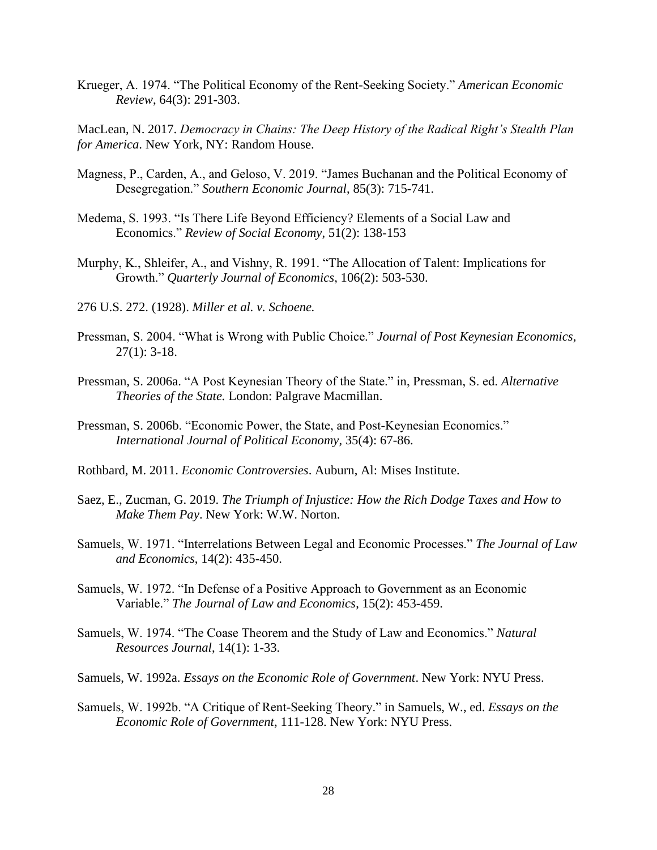Krueger, A. 1974. "The Political Economy of the Rent-Seeking Society." *American Economic Review*, 64(3): 291-303.

MacLean, N. 2017. *Democracy in Chains: The Deep History of the Radical Right's Stealth Plan for America*. New York, NY: Random House.

- Magness, P., Carden, A., and Geloso, V. 2019. "James Buchanan and the Political Economy of Desegregation." *Southern Economic Journal*, 85(3): 715-741.
- Medema, S. 1993. "Is There Life Beyond Efficiency? Elements of a Social Law and Economics." *Review of Social Economy*, 51(2): 138-153
- Murphy, K., Shleifer, A., and Vishny, R. 1991. "The Allocation of Talent: Implications for Growth." *Quarterly Journal of Economics*, 106(2): 503-530.
- 276 U.S. 272. (1928). *Miller et al. v. Schoene.*
- Pressman, S. 2004. "What is Wrong with Public Choice." *Journal of Post Keynesian Economics*,  $27(1): 3-18.$
- Pressman, S. 2006a. "A Post Keynesian Theory of the State." in, Pressman, S. ed. *Alternative Theories of the State.* London: Palgrave Macmillan.
- Pressman, S. 2006b. "Economic Power, the State, and Post-Keynesian Economics." *International Journal of Political Economy*, 35(4): 67-86.
- Rothbard, M. 2011. *Economic Controversies*. Auburn, Al: Mises Institute.
- Saez, E., Zucman, G. 2019. *The Triumph of Injustice: How the Rich Dodge Taxes and How to Make Them Pay*. New York: W.W. Norton.
- Samuels, W. 1971. "Interrelations Between Legal and Economic Processes." *The Journal of Law and Economics*, 14(2): 435-450.
- Samuels, W. 1972. "In Defense of a Positive Approach to Government as an Economic Variable." *The Journal of Law and Economics*, 15(2): 453-459.
- Samuels, W. 1974. "The Coase Theorem and the Study of Law and Economics." *Natural Resources Journal*, 14(1): 1-33.
- Samuels, W. 1992a. *Essays on the Economic Role of Government*. New York: NYU Press.
- Samuels, W. 1992b. "A Critique of Rent-Seeking Theory." in Samuels, W., ed. *Essays on the Economic Role of Government*, 111-128. New York: NYU Press.